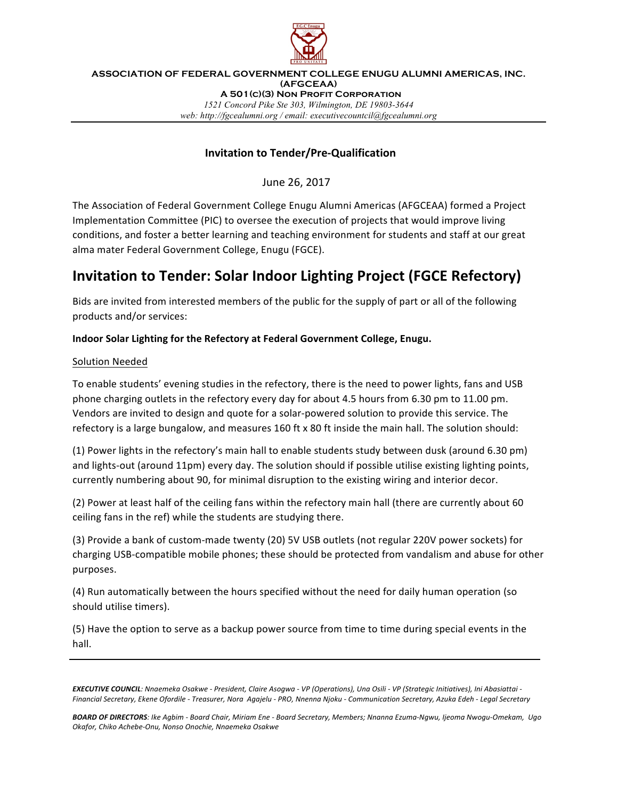

**ASSOCIATION OF FEDERAL GOVERNMENT COLLEGE ENUGU ALUMNI AMERICAS, INC. (AFGCEAA) A 501(c)(3) Non Profit Corporation** *1521 Concord Pike Ste 303, Wilmington, DE 19803-3644 web: http://fgcealumni.org / email: executivecountcil@fgcealumni.org*

# **Invitation to Tender/Pre-Qualification**

June 26, 2017

The Association of Federal Government College Enugu Alumni Americas (AFGCEAA) formed a Project Implementation Committee (PIC) to oversee the execution of projects that would improve living conditions, and foster a better learning and teaching environment for students and staff at our great alma mater Federal Government College, Enugu (FGCE).

# **Invitation to Tender: Solar Indoor Lighting Project (FGCE Refectory)**

Bids are invited from interested members of the public for the supply of part or all of the following products and/or services:

## Indoor Solar Lighting for the Refectory at Federal Government College, Enugu.

### Solution Needed

To enable students' evening studies in the refectory, there is the need to power lights, fans and USB phone charging outlets in the refectory every day for about 4.5 hours from 6.30 pm to 11.00 pm. Vendors are invited to design and quote for a solar-powered solution to provide this service. The refectory is a large bungalow, and measures 160 ft x 80 ft inside the main hall. The solution should:

(1) Power lights in the refectory's main hall to enable students study between dusk (around 6.30 pm) and lights-out (around 11pm) every day. The solution should if possible utilise existing lighting points, currently numbering about 90, for minimal disruption to the existing wiring and interior decor.

(2) Power at least half of the ceiling fans within the refectory main hall (there are currently about 60 ceiling fans in the ref) while the students are studying there.

(3) Provide a bank of custom-made twenty (20) 5V USB outlets (not regular 220V power sockets) for charging USB-compatible mobile phones; these should be protected from vandalism and abuse for other purposes.

(4) Run automatically between the hours specified without the need for daily human operation (so should utilise timers).

(5) Have the option to serve as a backup power source from time to time during special events in the hall.

**EXECUTIVE COUNCIL**: Nnaemeka Osakwe - President, Claire Asogwa - VP (Operations), Una Osili - VP (Strategic Initiatives), Ini Abasiattai -*Financial Secretary, Ekene Ofordile - Treasurer, Nora Agajelu - PRO, Nnenna Njoku - Communication Secretary, Azuka Edeh - Legal Secretary*

*BOARD OF DIRECTORS: Ike Agbim - Board Chair, Miriam Ene - Board Secretary, Members; Nnanna Ezuma-Ngwu, Ijeoma Nwogu-Omekam, Ugo Okafor, Chiko Achebe-Onu, Nonso Onochie, Nnaemeka Osakwe*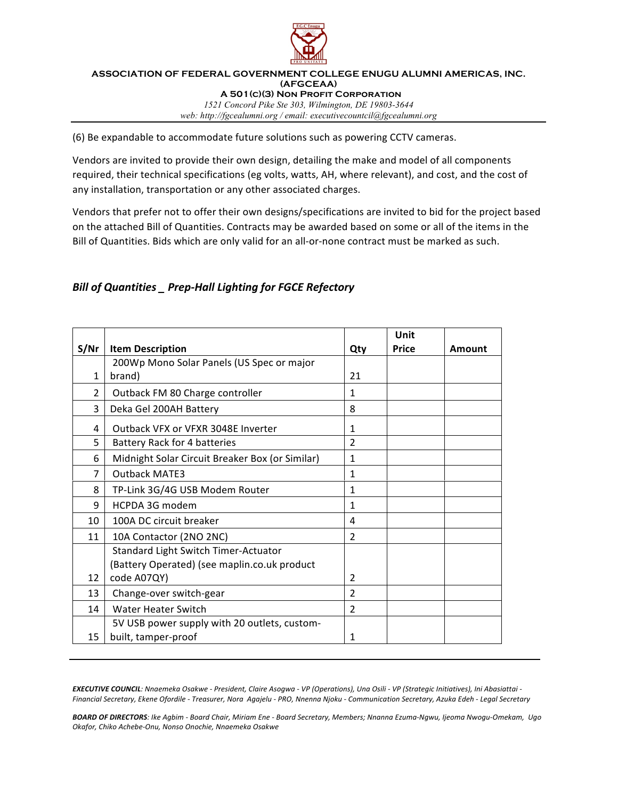

#### **ASSOCIATION OF FEDERAL GOVERNMENT COLLEGE ENUGU ALUMNI AMERICAS, INC. (AFGCEAA) A 501(c)(3) Non Profit Corporation** *1521 Concord Pike Ste 303, Wilmington, DE 19803-3644 web: http://fgcealumni.org / email: executivecountcil@fgcealumni.org*

(6) Be expandable to accommodate future solutions such as powering CCTV cameras.

Vendors are invited to provide their own design, detailing the make and model of all components required, their technical specifications (eg volts, watts, AH, where relevant), and cost, and the cost of any installation, transportation or any other associated charges.

Vendors that prefer not to offer their own designs/specifications are invited to bid for the project based on the attached Bill of Quantities. Contracts may be awarded based on some or all of the items in the Bill of Quantities. Bids which are only valid for an all-or-none contract must be marked as such.

# *Bill of Quantities \_ Prep-Hall Lighting for FGCE Refectory*

|                |                                                 |                | Unit         |        |
|----------------|-------------------------------------------------|----------------|--------------|--------|
| S/Nr           | <b>Item Description</b>                         | Qty            | <b>Price</b> | Amount |
|                | 200Wp Mono Solar Panels (US Spec or major       |                |              |        |
| 1              | brand)                                          | 21             |              |        |
| 2              | Outback FM 80 Charge controller                 | 1              |              |        |
| 3              | Deka Gel 200AH Battery                          | 8              |              |        |
| 4              | Outback VFX or VFXR 3048E Inverter              | 1              |              |        |
| 5              | <b>Battery Rack for 4 batteries</b>             | $\mathfrak{p}$ |              |        |
| 6              | Midnight Solar Circuit Breaker Box (or Similar) | 1              |              |        |
| $\overline{7}$ | <b>Outback MATE3</b>                            | 1              |              |        |
| 8              | TP-Link 3G/4G USB Modem Router                  | 1              |              |        |
| 9              | HCPDA 3G modem                                  | 1              |              |        |
| 10             | 100A DC circuit breaker                         | 4              |              |        |
| 11             | 10A Contactor (2NO 2NC)                         | $\overline{2}$ |              |        |
|                | Standard Light Switch Timer-Actuator            |                |              |        |
|                | (Battery Operated) (see maplin.co.uk product    |                |              |        |
| 12             | code A07QY)                                     | 2              |              |        |
| 13             | Change-over switch-gear                         | $\overline{2}$ |              |        |
| 14             | Water Heater Switch                             | $\overline{2}$ |              |        |
|                | 5V USB power supply with 20 outlets, custom-    |                |              |        |
| 15             | built, tamper-proof                             | 1              |              |        |

**EXECUTIVE COUNCIL**: Nnaemeka Osakwe - President, Claire Asogwa - VP (Operations), Una Osili - VP (Strategic Initiatives), Ini Abasiattai -*Financial Secretary, Ekene Ofordile - Treasurer, Nora Agajelu - PRO, Nnenna Njoku - Communication Secretary, Azuka Edeh - Legal Secretary*

*BOARD OF DIRECTORS: Ike Agbim - Board Chair, Miriam Ene - Board Secretary, Members; Nnanna Ezuma-Ngwu, Ijeoma Nwogu-Omekam, Ugo Okafor, Chiko Achebe-Onu, Nonso Onochie, Nnaemeka Osakwe*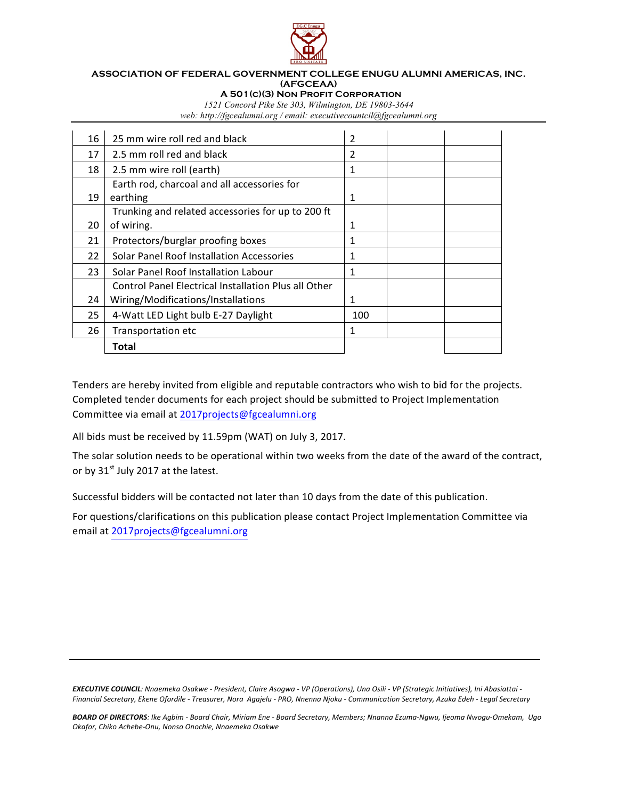

#### **ASSOCIATION OF FEDERAL GOVERNMENT COLLEGE ENUGU ALUMNI AMERICAS, INC. (AFGCEAA)**

 **A 501(c)(3) Non Profit Corporation**

*1521 Concord Pike Ste 303, Wilmington, DE 19803-3644 web: http://fgcealumni.org / email: executivecountcil@fgcealumni.org*

| 16 | 25 mm wire roll red and black                        | 2   |  |
|----|------------------------------------------------------|-----|--|
| 17 | 2.5 mm roll red and black                            | 2   |  |
| 18 | 2.5 mm wire roll (earth)                             | 1   |  |
|    | Earth rod, charcoal and all accessories for          |     |  |
| 19 | earthing                                             | 1   |  |
|    | Trunking and related accessories for up to 200 ft    |     |  |
| 20 | of wiring.                                           | 1   |  |
| 21 | Protectors/burglar proofing boxes                    | 1   |  |
| 22 | Solar Panel Roof Installation Accessories            | 1   |  |
| 23 | Solar Panel Roof Installation Labour                 | 1   |  |
|    | Control Panel Electrical Installation Plus all Other |     |  |
| 24 | Wiring/Modifications/Installations                   | 1   |  |
| 25 | 4-Watt LED Light bulb E-27 Daylight                  | 100 |  |
| 26 | Transportation etc                                   | 1   |  |
|    | Total                                                |     |  |

Tenders are hereby invited from eligible and reputable contractors who wish to bid for the projects. Completed tender documents for each project should be submitted to Project Implementation Committee via email at 2017projects@fgcealumni.org

All bids must be received by 11.59pm (WAT) on July 3, 2017.

The solar solution needs to be operational within two weeks from the date of the award of the contract, or by  $31^{st}$  July 2017 at the latest.

Successful bidders will be contacted not later than 10 days from the date of this publication.

For questions/clarifications on this publication please contact Project Implementation Committee via email at 2017projects@fgcealumni.org

**EXECUTIVE COUNCIL**: Nnaemeka Osakwe - President, Claire Asogwa - VP (Operations), Una Osili - VP (Strategic Initiatives), Ini Abasiattai -Financial Secretary, Ekene Ofordile - Treasurer, Nora Agajelu - PRO, Nnenna Njoku - Communication Secretary, Azuka Edeh - Legal Secretary

BOARD OF DIRECTORS: Ike Agbim - Board Chair, Miriam Ene - Board Secretary, Members; Nnanna Ezuma-Ngwu, Ijeoma Nwogu-Omekam, Ugo *Okafor, Chiko Achebe-Onu, Nonso Onochie, Nnaemeka Osakwe*